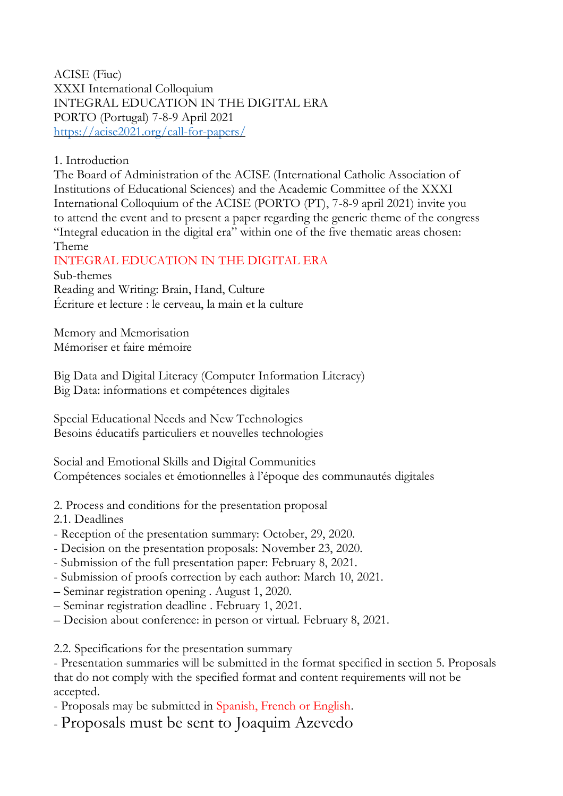ACISE (Fiuc) XXXI International Colloquium INTEGRAL EDUCATION IN THE DIGITAL ERA PORTO (Portugal) 7-8-9 April 2021 <https://acise2021.org/call-for-papers/>

## 1. Introduction

The Board of Administration of the ACISE (International Catholic Association of Institutions of Educational Sciences) and the Academic Committee of the XXXI International Colloquium of the ACISE (PORTO (PT), 7-8-9 april 2021) invite you to attend the event and to present a paper regarding the generic theme of the congress "Integral education in the digital era" within one of the five thematic areas chosen: Theme

## INTEGRAL EDUCATION IN THE DIGITAL ERA

Sub-themes Reading and Writing: Brain, Hand, Culture Écriture et lecture : le cerveau, la main et la culture

Memory and Memorisation Mémoriser et faire mémoire

Big Data and Digital Literacy (Computer Information Literacy) Big Data: informations et compétences digitales

Special Educational Needs and New Technologies Besoins éducatifs particuliers et nouvelles technologies

Social and Emotional Skills and Digital Communities Compétences sociales et émotionnelles à l'époque des communautés digitales

2. Process and conditions for the presentation proposal

2.1. Deadlines

- Reception of the presentation summary: October, 29, 2020.
- Decision on the presentation proposals: November 23, 2020.
- Submission of the full presentation paper: February 8, 2021.
- Submission of proofs correction by each author: March 10, 2021.
- Seminar registration opening . August 1, 2020.
- Seminar registration deadline . February 1, 2021.
- Decision about conference: in person or virtual. February 8, 2021.

2.2. Specifications for the presentation summary

- Presentation summaries will be submitted in the format specified in section 5. Proposals that do not comply with the specified format and content requirements will not be accepted.

- Proposals may be submitted in Spanish, French or English.

- Proposals must be sent to Joaquim Azevedo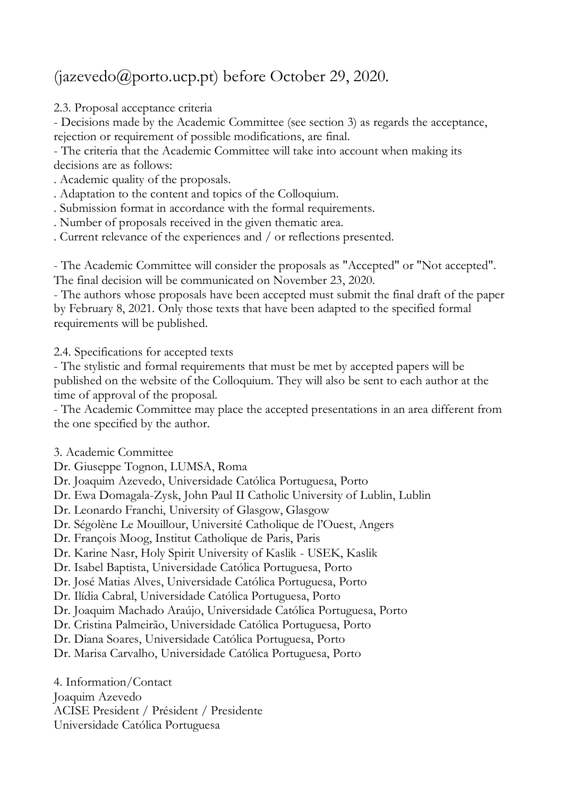## (jazevedo@porto.ucp.pt) before October 29, 2020.

2.3. Proposal acceptance criteria

- Decisions made by the Academic Committee (see section 3) as regards the acceptance, rejection or requirement of possible modifications, are final.

- The criteria that the Academic Committee will take into account when making its decisions are as follows:

. Academic quality of the proposals.

. Adaptation to the content and topics of the Colloquium.

. Submission format in accordance with the formal requirements.

. Number of proposals received in the given thematic area.

. Current relevance of the experiences and / or reflections presented.

- The Academic Committee will consider the proposals as "Accepted" or "Not accepted". The final decision will be communicated on November 23, 2020.

- The authors whose proposals have been accepted must submit the final draft of the paper by February 8, 2021. Only those texts that have been adapted to the specified formal requirements will be published.

2.4. Specifications for accepted texts

- The stylistic and formal requirements that must be met by accepted papers will be published on the website of the Colloquium. They will also be sent to each author at the time of approval of the proposal.

- The Academic Committee may place the accepted presentations in an area different from the one specified by the author.

3. Academic Committee

Dr. Giuseppe Tognon, LUMSA, Roma

Dr. Joaquim Azevedo, Universidade Católica Portuguesa, Porto

Dr. Ewa Domagala-Zysk, John Paul II Catholic University of Lublin, Lublin

Dr. Leonardo Franchi, University of Glasgow, Glasgow

Dr. Ségolène Le Mouillour, Université Catholique de l'Ouest, Angers

Dr. François Moog, Institut Catholique de Paris, Paris

Dr. Karine Nasr, Holy Spirit University of Kaslik - USEK, Kaslik

Dr. Isabel Baptista, Universidade Católica Portuguesa, Porto

Dr. José Matias Alves, Universidade Católica Portuguesa, Porto

Dr. Ilídia Cabral, Universidade Católica Portuguesa, Porto

Dr. Joaquim Machado Araújo, Universidade Católica Portuguesa, Porto

Dr. Cristina Palmeirão, Universidade Católica Portuguesa, Porto

Dr. Diana Soares, Universidade Católica Portuguesa, Porto

Dr. Marisa Carvalho, Universidade Católica Portuguesa, Porto

4. Information/Contact Joaquim Azevedo ACISE President / Président / Presidente Universidade Católica Portuguesa